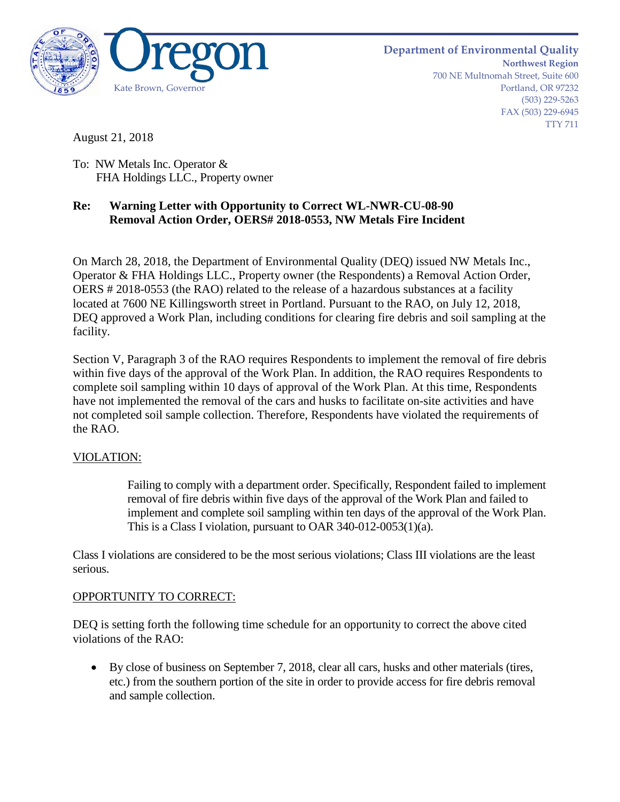

August 21, 2018

To: NW Metals Inc. Operator & FHA Holdings LLC., Property owner

## **Re: Warning Letter with Opportunity to Correct WL-NWR-CU-08-90 Removal Action Order, OERS# 2018-0553, NW Metals Fire Incident**

On March 28, 2018, the Department of Environmental Quality (DEQ) issued NW Metals Inc., Operator & FHA Holdings LLC., Property owner (the Respondents) a Removal Action Order, OERS # 2018-0553 (the RAO) related to the release of a hazardous substances at a facility located at 7600 NE Killingsworth street in Portland. Pursuant to the RAO, on July 12, 2018, DEQ approved a Work Plan, including conditions for clearing fire debris and soil sampling at the facility.

Section V, Paragraph 3 of the RAO requires Respondents to implement the removal of fire debris within five days of the approval of the Work Plan. In addition, the RAO requires Respondents to complete soil sampling within 10 days of approval of the Work Plan. At this time, Respondents have not implemented the removal of the cars and husks to facilitate on-site activities and have not completed soil sample collection. Therefore, Respondents have violated the requirements of the RAO.

## VIOLATION:

Failing to comply with a department order. Specifically, Respondent failed to implement removal of fire debris within five days of the approval of the Work Plan and failed to implement and complete soil sampling within ten days of the approval of the Work Plan. This is a Class I violation, pursuant to OAR 340-012-0053(1)(a).

Class I violations are considered to be the most serious violations; Class III violations are the least serious.

## OPPORTUNITY TO CORRECT:

DEQ is setting forth the following time schedule for an opportunity to correct the above cited violations of the RAO:

• By close of business on September 7, 2018, clear all cars, husks and other materials (tires, etc.) from the southern portion of the site in order to provide access for fire debris removal and sample collection.